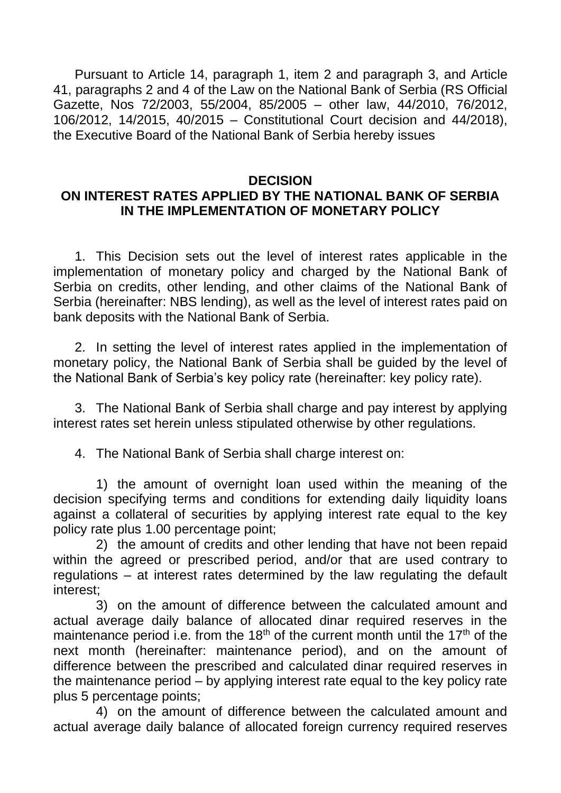Pursuant to Article 14, paragraph 1, item 2 and paragraph 3, and Article 41, paragraphs 2 and 4 of the Law on the National Bank of Serbia (RS Official Gazette, Nos 72/2003, 55/2004, 85/2005 – other law, 44/2010, 76/2012, 106/2012, 14/2015, 40/2015 – Constitutional Court decision and 44/2018), the Executive Board of the National Bank of Serbia hereby issues

## **DECISION ON INTEREST RATES APPLIED BY THE NATIONAL BANK OF SERBIA IN THE IMPLEMENTATION OF MONETARY POLICY**

1. This Decision sets out the level of interest rates applicable in the implementation of monetary policy and charged by the National Bank of Serbia on credits, other lending, and other claims of the National Bank of Serbia (hereinafter: NBS lending), as well as the level of interest rates paid on bank deposits with the National Bank of Serbia.

2. In setting the level of interest rates applied in the implementation of monetary policy, the National Bank of Serbia shall be guided by the level of the National Bank of Serbia's key policy rate (hereinafter: key policy rate).

3. The National Bank of Serbia shall charge and pay interest by applying interest rates set herein unless stipulated otherwise by other regulations.

4. The National Bank of Serbia shall charge interest on:

1) the amount of overnight loan used within the meaning of the decision specifying terms and conditions for extending daily liquidity loans against a collateral of securities by applying interest rate equal to the key policy rate plus 1.00 percentage point;

2) the amount of credits and other lending that have not been repaid within the agreed or prescribed period, and/or that are used contrary to regulations – at interest rates determined by the law regulating the default interest;

3) on the amount of difference between the calculated amount and actual average daily balance of allocated dinar required reserves in the maintenance period i.e. from the  $18<sup>th</sup>$  of the current month until the  $17<sup>th</sup>$  of the next month (hereinafter: maintenance period), and on the amount of difference between the prescribed and calculated dinar required reserves in the maintenance period – by applying interest rate equal to the key policy rate plus 5 percentage points;

4) on the amount of difference between the calculated amount and actual average daily balance of allocated foreign currency required reserves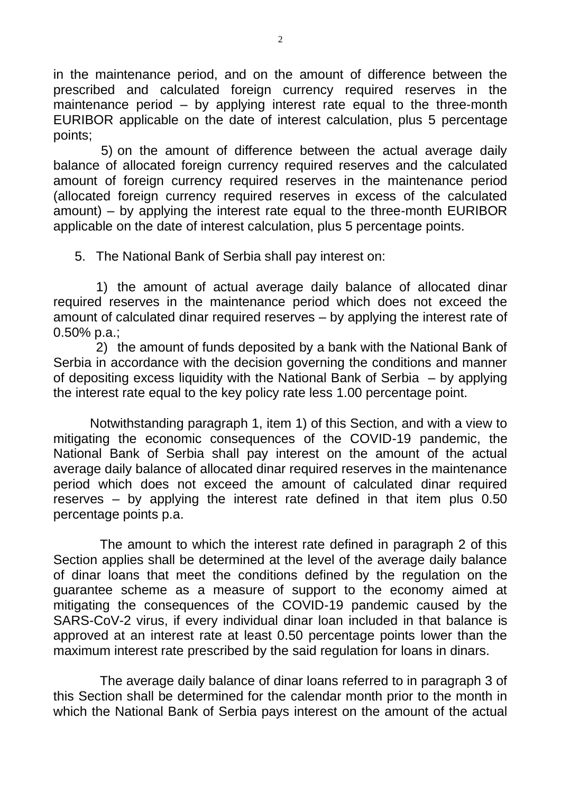in the maintenance period, and on the amount of difference between the prescribed and calculated foreign currency required reserves in the maintenance period – by applying interest rate equal to the three-month EURIBOR applicable on the date of interest calculation, plus 5 percentage points;

 5) on the amount of difference between the actual average daily balance of allocated foreign currency required reserves and the calculated amount of foreign currency required reserves in the maintenance period (allocated foreign currency required reserves in excess of the calculated amount) – by applying the interest rate equal to the three-month EURIBOR applicable on the date of interest calculation, plus 5 percentage points.

5. The National Bank of Serbia shall pay interest on:

1) the amount of actual average daily balance of allocated dinar required reserves in the maintenance period which does not exceed the amount of calculated dinar required reserves – by applying the interest rate of 0.50% p.a.;

2) the amount of funds deposited by a bank with the National Bank of Serbia in accordance with the decision governing the conditions and manner of depositing excess liquidity with the National Bank of Serbia – by applying the interest rate equal to the key policy rate less 1.00 percentage point.

 Notwithstanding paragraph 1, item 1) of this Section, and with a view to mitigating the economic consequences of the COVID-19 pandemic, the National Bank of Serbia shall pay interest on the amount of the actual average daily balance of allocated dinar required reserves in the maintenance period which does not exceed the amount of calculated dinar required reserves – by applying the interest rate defined in that item plus  $0.50$ percentage points p.a.

The amount to which the interest rate defined in paragraph 2 of this Section applies shall be determined at the level of the average daily balance of dinar loans that meet the conditions defined by the regulation on the guarantee scheme as a measure of support to the economy aimed at mitigating the consequences of the COVID-19 pandemic caused by the SARS-CoV-2 virus, if every individual dinar loan included in that balance is approved at an interest rate at least 0.50 percentage points lower than the maximum interest rate prescribed by the said regulation for loans in dinars.

The average daily balance of dinar loans referred to in paragraph 3 of this Section shall be determined for the calendar month prior to the month in which the National Bank of Serbia pays interest on the amount of the actual